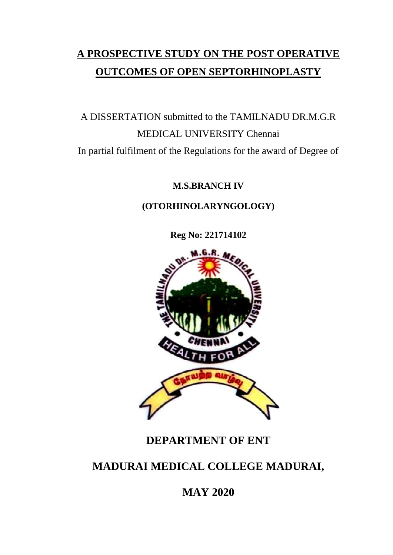# **A PROSPECTIVE STUDY ON THE POST OPERATIVE OUTCOMES OF OPEN SEPTORHINOPLASTY**

A DISSERTATION submitted to the TAMILNADU DR.M.G.R MEDICAL UNIVERSITY Chennai In partial fulfilment of the Regulations for the award of Degree of

**M.S.BRANCH IV**

**(OTORHINOLARYNGOLOGY)**

**Reg No: 221714102**



### **DEPARTMENT OF ENT**

## **MADURAI MEDICAL COLLEGE MADURAI,**

## **MAY 2020**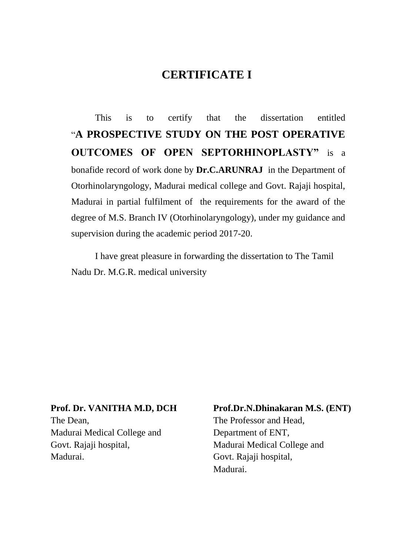### **CERTIFICATE I**

This is to certify that the dissertation entitled "**A PROSPECTIVE STUDY ON THE POST OPERATIVE OUTCOMES OF OPEN SEPTORHINOPLASTY"** is a bonafide record of work done by **Dr.C.ARUNRAJ** in the Department of Otorhinolaryngology, Madurai medical college and Govt. Rajaji hospital, Madurai in partial fulfilment of the requirements for the award of the degree of M.S. Branch IV (Otorhinolaryngology), under my guidance and supervision during the academic period 2017-20.

I have great pleasure in forwarding the dissertation to The Tamil Nadu Dr. M.G.R. medical university

#### **Prof. Dr. VANITHA M.D, DCH**

The Dean, Madurai Medical College and Govt. Rajaji hospital, Madurai.

#### **Prof.Dr.N.Dhinakaran M.S. (ENT)**

The Professor and Head, Department of ENT, Madurai Medical College and Govt. Rajaji hospital, Madurai.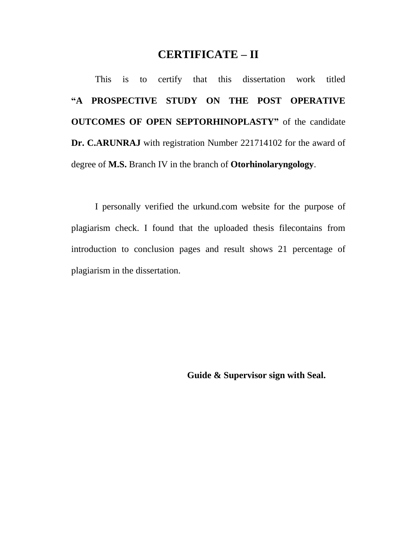### **CERTIFICATE – II**

This is to certify that this dissertation work titled **"A PROSPECTIVE STUDY ON THE POST OPERATIVE OUTCOMES OF OPEN SEPTORHINOPLASTY"** of the candidate **Dr. C.ARUNRAJ** with registration Number 221714102 for the award of degree of **M.S.** Branch IV in the branch of **Otorhinolaryngology**.

I personally verified the urkund.com website for the purpose of plagiarism check. I found that the uploaded thesis filecontains from introduction to conclusion pages and result shows 21 percentage of plagiarism in the dissertation.

**Guide & Supervisor sign with Seal.**